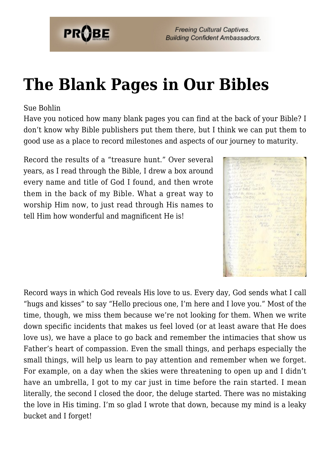

**Freeing Cultural Captives. Building Confident Ambassadors.** 

## **[The Blank Pages in Our Bibles](https://probe.org/the-blank-pages-in-our-bibles/)**

## Sue Bohlin

Have you noticed how many blank pages you can find at the back of your Bible? I don't know why Bible publishers put them there, but I think we can put them to good use as a place to record milestones and aspects of our journey to maturity.

Record the results of a "treasure hunt." Over several years, as I read through the Bible, I drew a box around every name and title of God I found, and then wrote them in the back of my Bible. What a great way to worship Him now, to just read through His names to tell Him how wonderful and magnificent He is!



Record ways in which God reveals His love to us. Every day, God sends what I call "hugs and kisses" to say "Hello precious one, I'm here and I love you." Most of the time, though, we miss them because we're not looking for them. When we write down specific incidents that makes us feel loved (or at least aware that He does love us), we have a place to go back and remember the intimacies that show us Father's heart of compassion. Even the small things, and perhaps especially the small things, will help us learn to pay attention and remember when we forget. For example, on a day when the skies were threatening to open up and I didn't have an umbrella, I got to my car just in time before the rain started. I mean literally, the second I closed the door, the deluge started. There was no mistaking the love in His timing. I'm so glad I wrote that down, because my mind is a leaky bucket and I forget!